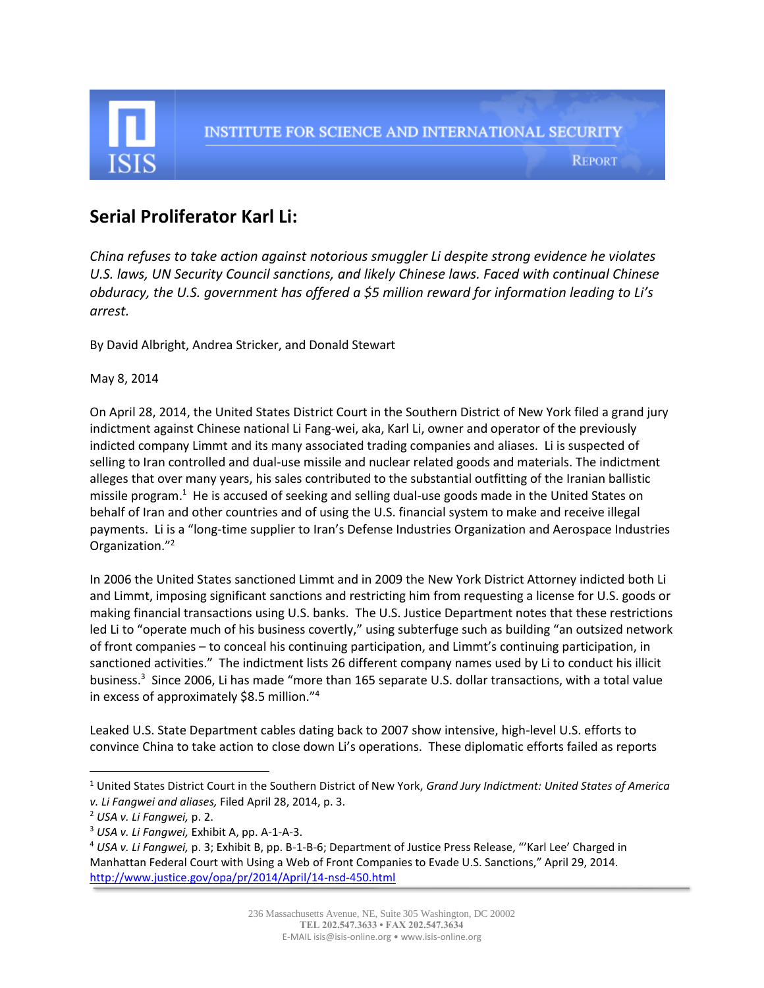

# **Serial Proliferator Karl Li:**

*China refuses to take action against notorious smuggler Li despite strong evidence he violates U.S. laws, UN Security Council sanctions, and likely Chinese laws. Faced with continual Chinese obduracy, the U.S. government has offered a \$5 million reward for information leading to Li's arrest.*

By David Albright, Andrea Stricker, and Donald Stewart

May 8, 2014

On April 28, 2014, the United States District Court in the Southern District of New York filed a grand jury indictment against Chinese national Li Fang-wei, aka, Karl Li, owner and operator of the previously indicted company Limmt and its many associated trading companies and aliases. Li is suspected of selling to Iran controlled and dual-use missile and nuclear related goods and materials. The indictment alleges that over many years, his sales contributed to the substantial outfitting of the Iranian ballistic missile program.<sup>1</sup> He is accused of seeking and selling dual-use goods made in the United States on behalf of Iran and other countries and of using the U.S. financial system to make and receive illegal payments. Li is a "long-time supplier to Iran's Defense Industries Organization and Aerospace Industries Organization."<sup>2</sup>

In 2006 the United States sanctioned Limmt and in 2009 the New York District Attorney indicted both Li and Limmt, imposing significant sanctions and restricting him from requesting a license for U.S. goods or making financial transactions using U.S. banks. The U.S. Justice Department notes that these restrictions led Li to "operate much of his business covertly," using subterfuge such as building "an outsized network of front companies – to conceal his continuing participation, and Limmt's continuing participation, in sanctioned activities." The indictment lists 26 different company names used by Li to conduct his illicit business.<sup>3</sup> Since 2006, Li has made "more than 165 separate U.S. dollar transactions, with a total value in excess of approximately \$8.5 million."<sup>4</sup>

Leaked U.S. State Department cables dating back to 2007 show intensive, high-level U.S. efforts to convince China to take action to close down Li's operations. These diplomatic efforts failed as reports

l

<sup>1</sup> United States District Court in the Southern District of New York, *Grand Jury Indictment: United States of America v. Li Fangwei and aliases,* Filed April 28, 2014, p. 3.

<sup>2</sup> *USA v. Li Fangwei,* p. 2.

<sup>3</sup> *USA v. Li Fangwei,* Exhibit A, pp. A-1-A-3.

<sup>4</sup> *USA v. Li Fangwei,* p. 3; Exhibit B, pp. B-1-B-6; Department of Justice Press Release, "'Karl Lee' Charged in Manhattan Federal Court with Using a Web of Front Companies to Evade U.S. Sanctions," April 29, 2014. <http://www.justice.gov/opa/pr/2014/April/14-nsd-450.html>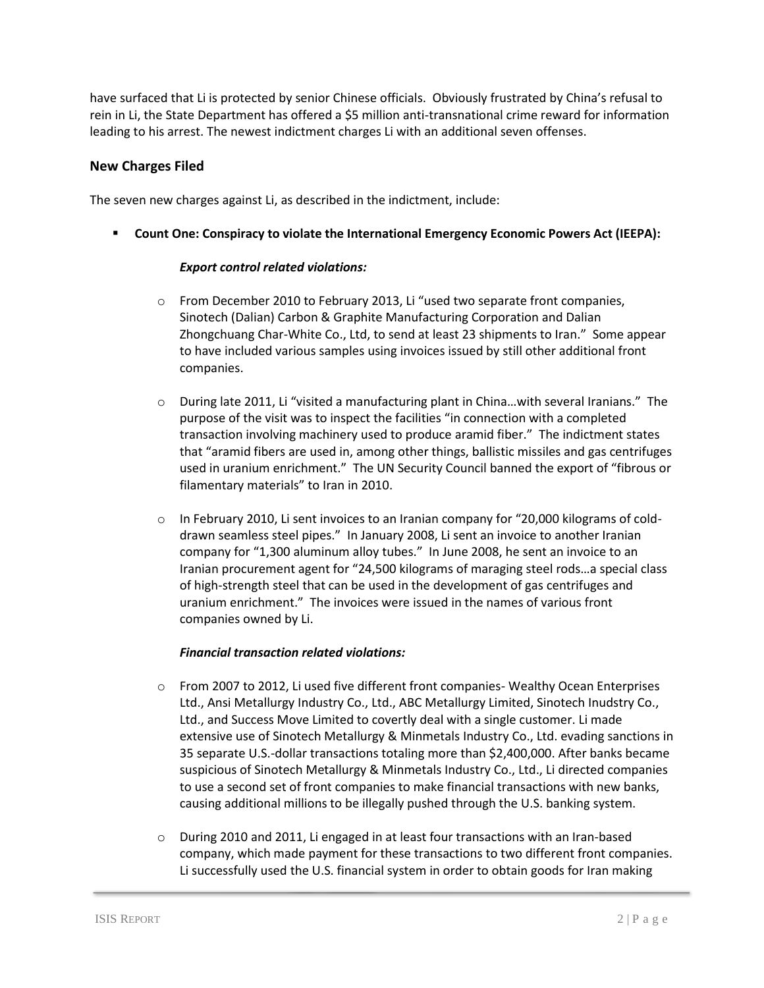have surfaced that Li is protected by senior Chinese officials. Obviously frustrated by China's refusal to rein in Li, the State Department has offered a \$5 million anti-transnational crime reward for information leading to his arrest. The newest indictment charges Li with an additional seven offenses.

#### **New Charges Filed**

The seven new charges against Li, as described in the indictment, include:

**Count One: Conspiracy to violate the International Emergency Economic Powers Act (IEEPA):** 

#### *Export control related violations:*

- o From December 2010 to February 2013, Li "used two separate front companies, Sinotech (Dalian) Carbon & Graphite Manufacturing Corporation and Dalian Zhongchuang Char-White Co., Ltd, to send at least 23 shipments to Iran." Some appear to have included various samples using invoices issued by still other additional front companies.
- o During late 2011, Li "visited a manufacturing plant in China…with several Iranians." The purpose of the visit was to inspect the facilities "in connection with a completed transaction involving machinery used to produce aramid fiber." The indictment states that "aramid fibers are used in, among other things, ballistic missiles and gas centrifuges used in uranium enrichment." The UN Security Council banned the export of "fibrous or filamentary materials" to Iran in 2010.
- o In February 2010, Li sent invoices to an Iranian company for "20,000 kilograms of colddrawn seamless steel pipes." In January 2008, Li sent an invoice to another Iranian company for "1,300 aluminum alloy tubes." In June 2008, he sent an invoice to an Iranian procurement agent for "24,500 kilograms of maraging steel rods…a special class of high-strength steel that can be used in the development of gas centrifuges and uranium enrichment." The invoices were issued in the names of various front companies owned by Li.

#### *Financial transaction related violations:*

- o From 2007 to 2012, Li used five different front companies- Wealthy Ocean Enterprises Ltd., Ansi Metallurgy Industry Co., Ltd., ABC Metallurgy Limited, Sinotech Inudstry Co., Ltd., and Success Move Limited to covertly deal with a single customer. Li made extensive use of Sinotech Metallurgy & Minmetals Industry Co., Ltd. evading sanctions in 35 separate U.S.-dollar transactions totaling more than \$2,400,000. After banks became suspicious of Sinotech Metallurgy & Minmetals Industry Co., Ltd., Li directed companies to use a second set of front companies to make financial transactions with new banks, causing additional millions to be illegally pushed through the U.S. banking system.
- $\circ$  During 2010 and 2011, Li engaged in at least four transactions with an Iran-based company, which made payment for these transactions to two different front companies. Li successfully used the U.S. financial system in order to obtain goods for Iran making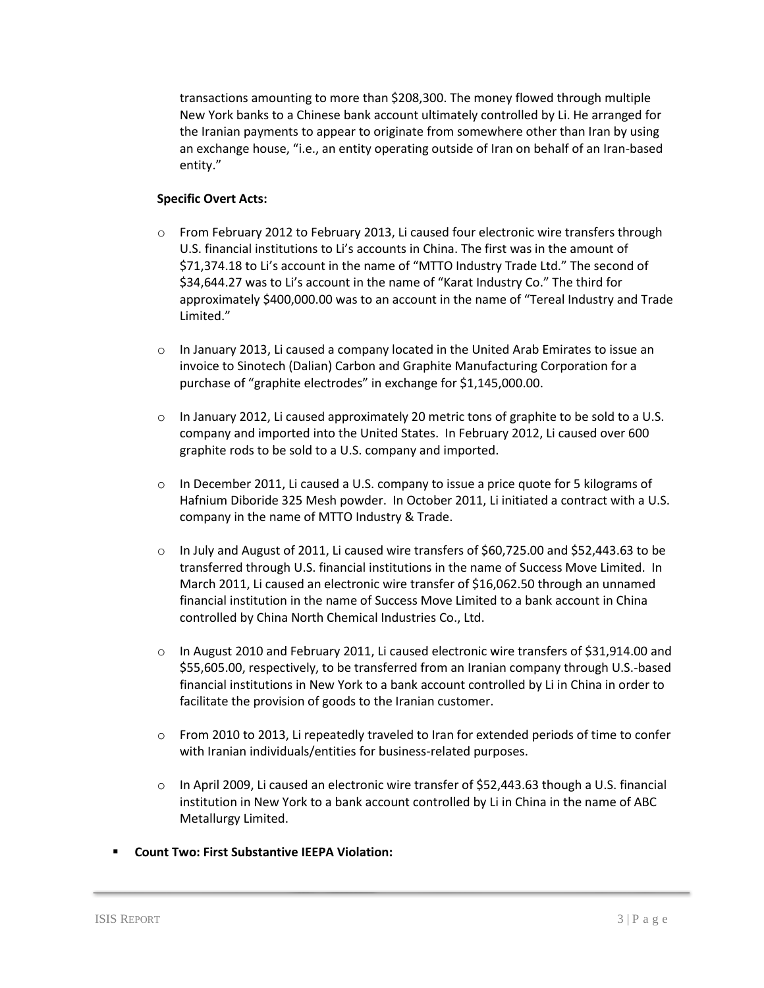transactions amounting to more than \$208,300. The money flowed through multiple New York banks to a Chinese bank account ultimately controlled by Li. He arranged for the Iranian payments to appear to originate from somewhere other than Iran by using an exchange house, "i.e., an entity operating outside of Iran on behalf of an Iran-based entity."

#### **Specific Overt Acts:**

- o From February 2012 to February 2013, Li caused four electronic wire transfers through U.S. financial institutions to Li's accounts in China. The first was in the amount of \$71,374.18 to Li's account in the name of "MTTO Industry Trade Ltd." The second of \$34,644.27 was to Li's account in the name of "Karat Industry Co." The third for approximately \$400,000.00 was to an account in the name of "Tereal Industry and Trade Limited."
- $\circ$  In January 2013, Li caused a company located in the United Arab Emirates to issue an invoice to Sinotech (Dalian) Carbon and Graphite Manufacturing Corporation for a purchase of "graphite electrodes" in exchange for \$1,145,000.00.
- $\circ$  In January 2012, Li caused approximately 20 metric tons of graphite to be sold to a U.S. company and imported into the United States. In February 2012, Li caused over 600 graphite rods to be sold to a U.S. company and imported.
- $\circ$  In December 2011, Li caused a U.S. company to issue a price quote for 5 kilograms of Hafnium Diboride 325 Mesh powder. In October 2011, Li initiated a contract with a U.S. company in the name of MTTO Industry & Trade.
- $\circ$  In July and August of 2011, Li caused wire transfers of \$60,725.00 and \$52,443.63 to be transferred through U.S. financial institutions in the name of Success Move Limited. In March 2011, Li caused an electronic wire transfer of \$16,062.50 through an unnamed financial institution in the name of Success Move Limited to a bank account in China controlled by China North Chemical Industries Co., Ltd.
- o In August 2010 and February 2011, Li caused electronic wire transfers of \$31,914.00 and \$55,605.00, respectively, to be transferred from an Iranian company through U.S.-based financial institutions in New York to a bank account controlled by Li in China in order to facilitate the provision of goods to the Iranian customer.
- o From 2010 to 2013, Li repeatedly traveled to Iran for extended periods of time to confer with Iranian individuals/entities for business-related purposes.
- $\circ$  In April 2009, Li caused an electronic wire transfer of \$52,443.63 though a U.S. financial institution in New York to a bank account controlled by Li in China in the name of ABC Metallurgy Limited.
- **Count Two: First Substantive IEEPA Violation:**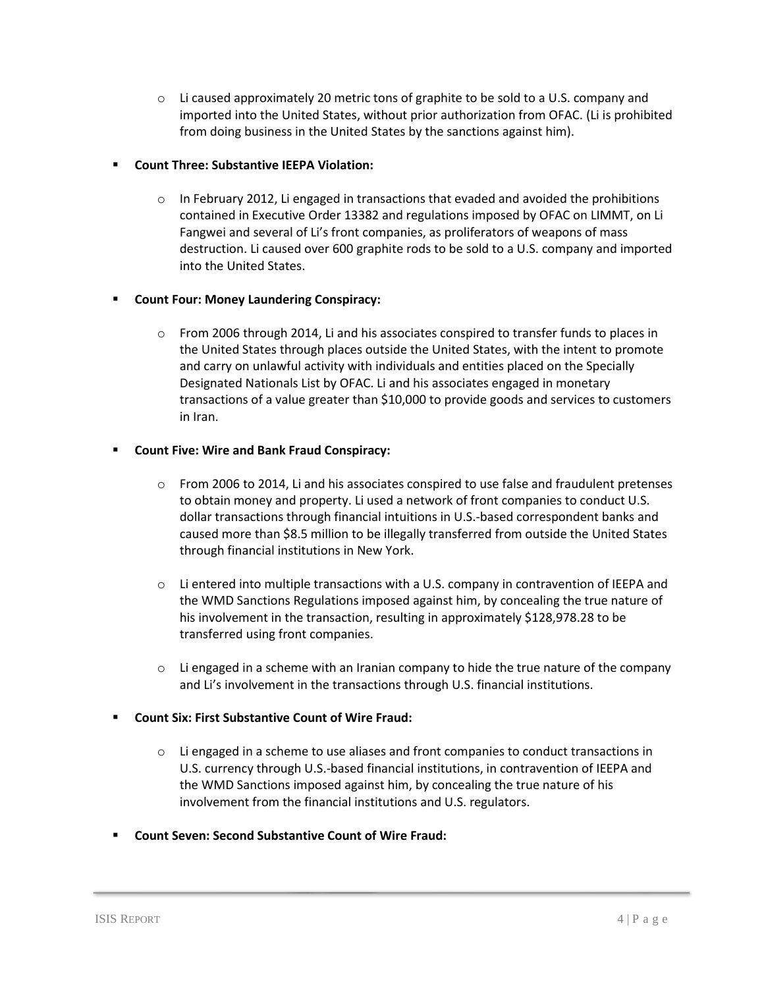$\circ$  Li caused approximately 20 metric tons of graphite to be sold to a U.S. company and imported into the United States, without prior authorization from OFAC. (Li is prohibited from doing business in the United States by the sanctions against him).

## **Count Three: Substantive IEEPA Violation:**

 $\circ$  In February 2012, Li engaged in transactions that evaded and avoided the prohibitions contained in Executive Order 13382 and regulations imposed by OFAC on LIMMT, on Li Fangwei and several of Li's front companies, as proliferators of weapons of mass destruction. Li caused over 600 graphite rods to be sold to a U.S. company and imported into the United States.

## **Count Four: Money Laundering Conspiracy:**

 $\circ$  From 2006 through 2014, Li and his associates conspired to transfer funds to places in the United States through places outside the United States, with the intent to promote and carry on unlawful activity with individuals and entities placed on the Specially Designated Nationals List by OFAC. Li and his associates engaged in monetary transactions of a value greater than \$10,000 to provide goods and services to customers in Iran.

## **Count Five: Wire and Bank Fraud Conspiracy:**

- $\circ$  From 2006 to 2014, Li and his associates conspired to use false and fraudulent pretenses to obtain money and property. Li used a network of front companies to conduct U.S. dollar transactions through financial intuitions in U.S.-based correspondent banks and caused more than \$8.5 million to be illegally transferred from outside the United States through financial institutions in New York.
- $\circ$  Li entered into multiple transactions with a U.S. company in contravention of IEEPA and the WMD Sanctions Regulations imposed against him, by concealing the true nature of his involvement in the transaction, resulting in approximately \$128,978.28 to be transferred using front companies.
- $\circ$  Li engaged in a scheme with an Iranian company to hide the true nature of the company and Li's involvement in the transactions through U.S. financial institutions.

## **Count Six: First Substantive Count of Wire Fraud:**

- $\circ$  Li engaged in a scheme to use aliases and front companies to conduct transactions in U.S. currency through U.S.-based financial institutions, in contravention of IEEPA and the WMD Sanctions imposed against him, by concealing the true nature of his involvement from the financial institutions and U.S. regulators.
- **Count Seven: Second Substantive Count of Wire Fraud:**